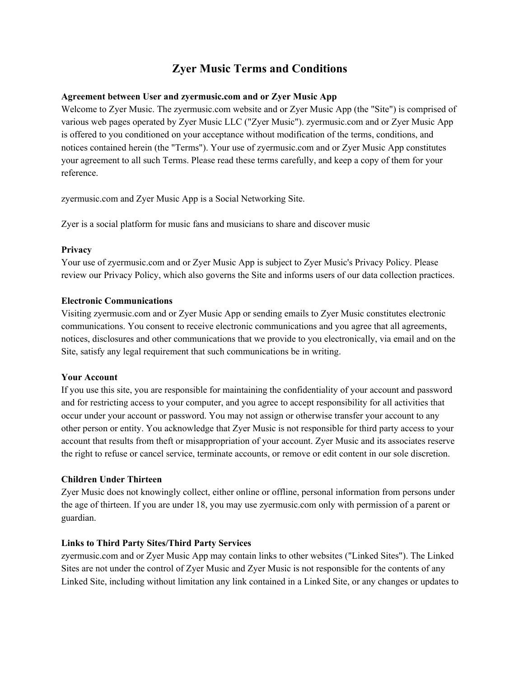# **Zyer Music Terms and Conditions**

#### **Agreement between User and zyermusic.com and or Zyer Music App**

Welcome to Zyer Music. The zyermusic.com website and or Zyer Music App (the "Site") is comprised of various web pages operated by Zyer Music LLC ("Zyer Music"). zyermusic.com and or Zyer Music App is offered to you conditioned on your acceptance without modification of the terms, conditions, and notices contained herein (the "Terms"). Your use of zyermusic.com and or Zyer Music App constitutes your agreement to all such Terms. Please read these terms carefully, and keep a copy of them for your reference.

zyermusic.com and Zyer Music App is a Social Networking Site.

Zyer is a social platform for music fans and musicians to share and discover music

#### **Privacy**

Your use of zyermusic.com and or Zyer Music App is subject to Zyer Music's Privacy Policy. Please review our Privacy Policy, which also governs the Site and informs users of our data collection practices.

#### **Electronic Communications**

Visiting zyermusic.com and or Zyer Music App or sending emails to Zyer Music constitutes electronic communications. You consent to receive electronic communications and you agree that all agreements, notices, disclosures and other communications that we provide to you electronically, via email and on the Site, satisfy any legal requirement that such communications be in writing.

# **Your Account**

If you use this site, you are responsible for maintaining the confidentiality of your account and password and for restricting access to your computer, and you agree to accept responsibility for all activities that occur under your account or password. You may not assign or otherwise transfer your account to any other person or entity. You acknowledge that Zyer Music is not responsible for third party access to your account that results from theft or misappropriation of your account. Zyer Music and its associates reserve the right to refuse or cancel service, terminate accounts, or remove or edit content in our sole discretion.

# **Children Under Thirteen**

Zyer Music does not knowingly collect, either online or offline, personal information from persons under the age of thirteen. If you are under 18, you may use zyermusic.com only with permission of a parent or guardian.

# **Links to Third Party Sites/Third Party Services**

zyermusic.com and or Zyer Music App may contain links to other websites ("Linked Sites"). The Linked Sites are not under the control of Zyer Music and Zyer Music is not responsible for the contents of any Linked Site, including without limitation any link contained in a Linked Site, or any changes or updates to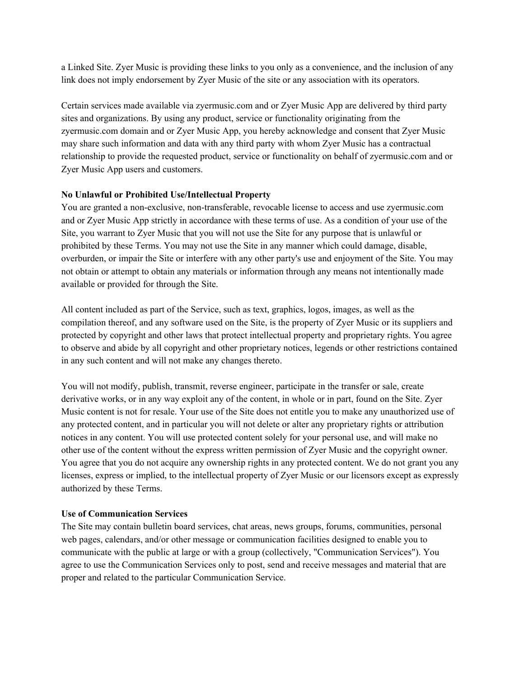a Linked Site. Zyer Music is providing these links to you only as a convenience, and the inclusion of any link does not imply endorsement by Zyer Music of the site or any association with its operators.

Certain services made available via zyermusic.com and or Zyer Music App are delivered by third party sites and organizations. By using any product, service or functionality originating from the zyermusic.com domain and or Zyer Music App, you hereby acknowledge and consent that Zyer Music may share such information and data with any third party with whom Zyer Music has a contractual relationship to provide the requested product, service or functionality on behalf of zyermusic.com and or Zyer Music App users and customers.

# **No Unlawful or Prohibited Use/Intellectual Property**

You are granted a non-exclusive, non-transferable, revocable license to access and use zyermusic.com and or Zyer Music App strictly in accordance with these terms of use. As a condition of your use of the Site, you warrant to Zyer Music that you will not use the Site for any purpose that is unlawful or prohibited by these Terms. You may not use the Site in any manner which could damage, disable, overburden, or impair the Site or interfere with any other party's use and enjoyment of the Site. You may not obtain or attempt to obtain any materials or information through any means not intentionally made available or provided for through the Site.

All content included as part of the Service, such as text, graphics, logos, images, as well as the compilation thereof, and any software used on the Site, is the property of Zyer Music or its suppliers and protected by copyright and other laws that protect intellectual property and proprietary rights. You agree to observe and abide by all copyright and other proprietary notices, legends or other restrictions contained in any such content and will not make any changes thereto.

You will not modify, publish, transmit, reverse engineer, participate in the transfer or sale, create derivative works, or in any way exploit any of the content, in whole or in part, found on the Site. Zyer Music content is not for resale. Your use of the Site does not entitle you to make any unauthorized use of any protected content, and in particular you will not delete or alter any proprietary rights or attribution notices in any content. You will use protected content solely for your personal use, and will make no other use of the content without the express written permission of Zyer Music and the copyright owner. You agree that you do not acquire any ownership rights in any protected content. We do not grant you any licenses, express or implied, to the intellectual property of Zyer Music or our licensors except as expressly authorized by these Terms.

# **Use of Communication Services**

The Site may contain bulletin board services, chat areas, news groups, forums, communities, personal web pages, calendars, and/or other message or communication facilities designed to enable you to communicate with the public at large or with a group (collectively, "Communication Services"). You agree to use the Communication Services only to post, send and receive messages and material that are proper and related to the particular Communication Service.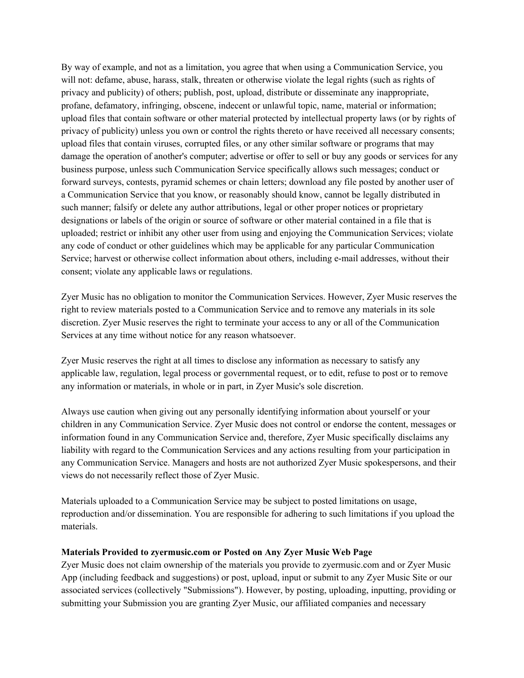By way of example, and not as a limitation, you agree that when using a Communication Service, you will not: defame, abuse, harass, stalk, threaten or otherwise violate the legal rights (such as rights of privacy and publicity) of others; publish, post, upload, distribute or disseminate any inappropriate, profane, defamatory, infringing, obscene, indecent or unlawful topic, name, material or information; upload files that contain software or other material protected by intellectual property laws (or by rights of privacy of publicity) unless you own or control the rights thereto or have received all necessary consents; upload files that contain viruses, corrupted files, or any other similar software or programs that may damage the operation of another's computer; advertise or offer to sell or buy any goods or services for any business purpose, unless such Communication Service specifically allows such messages; conduct or forward surveys, contests, pyramid schemes or chain letters; download any file posted by another user of a Communication Service that you know, or reasonably should know, cannot be legally distributed in such manner; falsify or delete any author attributions, legal or other proper notices or proprietary designations or labels of the origin or source of software or other material contained in a file that is uploaded; restrict or inhibit any other user from using and enjoying the Communication Services; violate any code of conduct or other guidelines which may be applicable for any particular Communication Service; harvest or otherwise collect information about others, including e-mail addresses, without their consent; violate any applicable laws or regulations.

Zyer Music has no obligation to monitor the Communication Services. However, Zyer Music reserves the right to review materials posted to a Communication Service and to remove any materials in its sole discretion. Zyer Music reserves the right to terminate your access to any or all of the Communication Services at any time without notice for any reason whatsoever.

Zyer Music reserves the right at all times to disclose any information as necessary to satisfy any applicable law, regulation, legal process or governmental request, or to edit, refuse to post or to remove any information or materials, in whole or in part, in Zyer Music's sole discretion.

Always use caution when giving out any personally identifying information about yourself or your children in any Communication Service. Zyer Music does not control or endorse the content, messages or information found in any Communication Service and, therefore, Zyer Music specifically disclaims any liability with regard to the Communication Services and any actions resulting from your participation in any Communication Service. Managers and hosts are not authorized Zyer Music spokespersons, and their views do not necessarily reflect those of Zyer Music.

Materials uploaded to a Communication Service may be subject to posted limitations on usage, reproduction and/or dissemination. You are responsible for adhering to such limitations if you upload the materials.

#### **Materials Provided to zyermusic.com or Posted on Any Zyer Music Web Page**

Zyer Music does not claim ownership of the materials you provide to zyermusic.com and or Zyer Music App (including feedback and suggestions) or post, upload, input or submit to any Zyer Music Site or our associated services (collectively "Submissions"). However, by posting, uploading, inputting, providing or submitting your Submission you are granting Zyer Music, our affiliated companies and necessary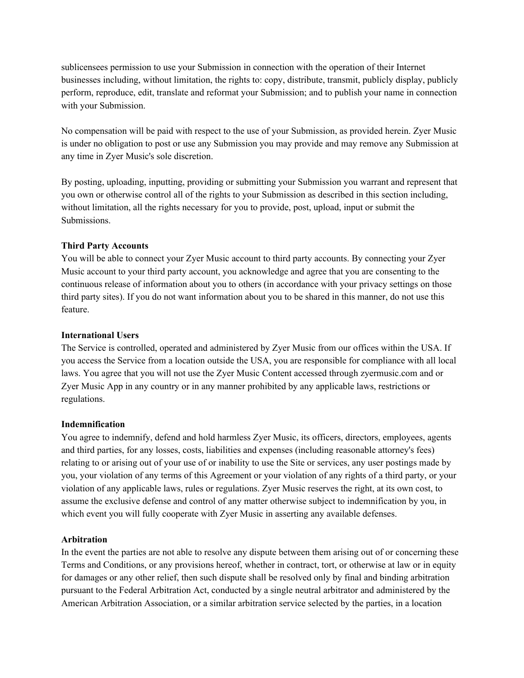sublicensees permission to use your Submission in connection with the operation of their Internet businesses including, without limitation, the rights to: copy, distribute, transmit, publicly display, publicly perform, reproduce, edit, translate and reformat your Submission; and to publish your name in connection with your Submission.

No compensation will be paid with respect to the use of your Submission, as provided herein. Zyer Music is under no obligation to post or use any Submission you may provide and may remove any Submission at any time in Zyer Music's sole discretion.

By posting, uploading, inputting, providing or submitting your Submission you warrant and represent that you own or otherwise control all of the rights to your Submission as described in this section including, without limitation, all the rights necessary for you to provide, post, upload, input or submit the Submissions.

#### **Third Party Accounts**

You will be able to connect your Zyer Music account to third party accounts. By connecting your Zyer Music account to your third party account, you acknowledge and agree that you are consenting to the continuous release of information about you to others (in accordance with your privacy settings on those third party sites). If you do not want information about you to be shared in this manner, do not use this feature.

#### **International Users**

The Service is controlled, operated and administered by Zyer Music from our offices within the USA. If you access the Service from a location outside the USA, you are responsible for compliance with all local laws. You agree that you will not use the Zyer Music Content accessed through zyermusic.com and or Zyer Music App in any country or in any manner prohibited by any applicable laws, restrictions or regulations.

#### **Indemnification**

You agree to indemnify, defend and hold harmless Zyer Music, its officers, directors, employees, agents and third parties, for any losses, costs, liabilities and expenses (including reasonable attorney's fees) relating to or arising out of your use of or inability to use the Site or services, any user postings made by you, your violation of any terms of this Agreement or your violation of any rights of a third party, or your violation of any applicable laws, rules or regulations. Zyer Music reserves the right, at its own cost, to assume the exclusive defense and control of any matter otherwise subject to indemnification by you, in which event you will fully cooperate with Zyer Music in asserting any available defenses.

#### **Arbitration**

In the event the parties are not able to resolve any dispute between them arising out of or concerning these Terms and Conditions, or any provisions hereof, whether in contract, tort, or otherwise at law or in equity for damages or any other relief, then such dispute shall be resolved only by final and binding arbitration pursuant to the Federal Arbitration Act, conducted by a single neutral arbitrator and administered by the American Arbitration Association, or a similar arbitration service selected by the parties, in a location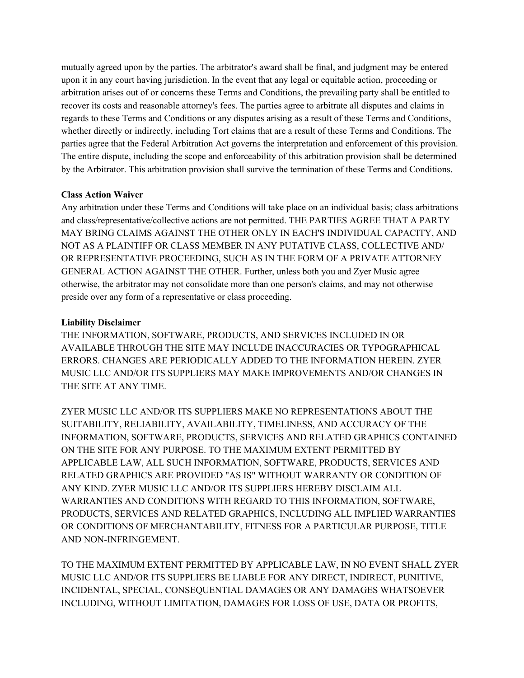mutually agreed upon by the parties. The arbitrator's award shall be final, and judgment may be entered upon it in any court having jurisdiction. In the event that any legal or equitable action, proceeding or arbitration arises out of or concerns these Terms and Conditions, the prevailing party shall be entitled to recover its costs and reasonable attorney's fees. The parties agree to arbitrate all disputes and claims in regards to these Terms and Conditions or any disputes arising as a result of these Terms and Conditions, whether directly or indirectly, including Tort claims that are a result of these Terms and Conditions. The parties agree that the Federal Arbitration Act governs the interpretation and enforcement of this provision. The entire dispute, including the scope and enforceability of this arbitration provision shall be determined by the Arbitrator. This arbitration provision shall survive the termination of these Terms and Conditions.

# **Class Action Waiver**

Any arbitration under these Terms and Conditions will take place on an individual basis; class arbitrations and class/representative/collective actions are not permitted. THE PARTIES AGREE THAT A PARTY MAY BRING CLAIMS AGAINST THE OTHER ONLY IN EACH'S INDIVIDUAL CAPACITY, AND NOT AS A PLAINTIFF OR CLASS MEMBER IN ANY PUTATIVE CLASS, COLLECTIVE AND/ OR REPRESENTATIVE PROCEEDING, SUCH AS IN THE FORM OF A PRIVATE ATTORNEY GENERAL ACTION AGAINST THE OTHER. Further, unless both you and Zyer Music agree otherwise, the arbitrator may not consolidate more than one person's claims, and may not otherwise preside over any form of a representative or class proceeding.

# **Liability Disclaimer**

THE INFORMATION, SOFTWARE, PRODUCTS, AND SERVICES INCLUDED IN OR AVAILABLE THROUGH THE SITE MAY INCLUDE INACCURACIES OR TYPOGRAPHICAL ERRORS. CHANGES ARE PERIODICALLY ADDED TO THE INFORMATION HEREIN. ZYER MUSIC LLC AND/OR ITS SUPPLIERS MAY MAKE IMPROVEMENTS AND/OR CHANGES IN THE SITE AT ANY TIME.

ZYER MUSIC LLC AND/OR ITS SUPPLIERS MAKE NO REPRESENTATIONS ABOUT THE SUITABILITY, RELIABILITY, AVAILABILITY, TIMELINESS, AND ACCURACY OF THE INFORMATION, SOFTWARE, PRODUCTS, SERVICES AND RELATED GRAPHICS CONTAINED ON THE SITE FOR ANY PURPOSE. TO THE MAXIMUM EXTENT PERMITTED BY APPLICABLE LAW, ALL SUCH INFORMATION, SOFTWARE, PRODUCTS, SERVICES AND RELATED GRAPHICS ARE PROVIDED "AS IS" WITHOUT WARRANTY OR CONDITION OF ANY KIND. ZYER MUSIC LLC AND/OR ITS SUPPLIERS HEREBY DISCLAIM ALL WARRANTIES AND CONDITIONS WITH REGARD TO THIS INFORMATION, SOFTWARE, PRODUCTS, SERVICES AND RELATED GRAPHICS, INCLUDING ALL IMPLIED WARRANTIES OR CONDITIONS OF MERCHANTABILITY, FITNESS FOR A PARTICULAR PURPOSE, TITLE AND NON-INFRINGEMENT.

TO THE MAXIMUM EXTENT PERMITTED BY APPLICABLE LAW, IN NO EVENT SHALL ZYER MUSIC LLC AND/OR ITS SUPPLIERS BE LIABLE FOR ANY DIRECT, INDIRECT, PUNITIVE, INCIDENTAL, SPECIAL, CONSEQUENTIAL DAMAGES OR ANY DAMAGES WHATSOEVER INCLUDING, WITHOUT LIMITATION, DAMAGES FOR LOSS OF USE, DATA OR PROFITS,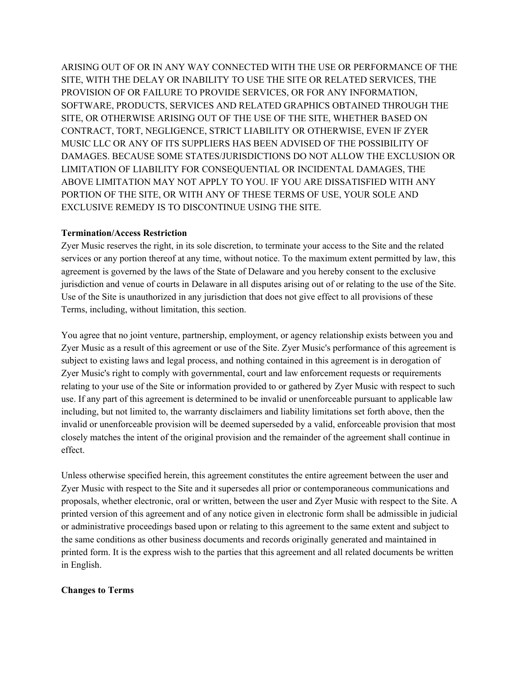ARISING OUT OF OR IN ANY WAY CONNECTED WITH THE USE OR PERFORMANCE OF THE SITE, WITH THE DELAY OR INABILITY TO USE THE SITE OR RELATED SERVICES, THE PROVISION OF OR FAILURE TO PROVIDE SERVICES, OR FOR ANY INFORMATION, SOFTWARE, PRODUCTS, SERVICES AND RELATED GRAPHICS OBTAINED THROUGH THE SITE, OR OTHERWISE ARISING OUT OF THE USE OF THE SITE, WHETHER BASED ON CONTRACT, TORT, NEGLIGENCE, STRICT LIABILITY OR OTHERWISE, EVEN IF ZYER MUSIC LLC OR ANY OF ITS SUPPLIERS HAS BEEN ADVISED OF THE POSSIBILITY OF DAMAGES. BECAUSE SOME STATES/JURISDICTIONS DO NOT ALLOW THE EXCLUSION OR LIMITATION OF LIABILITY FOR CONSEQUENTIAL OR INCIDENTAL DAMAGES, THE ABOVE LIMITATION MAY NOT APPLY TO YOU. IF YOU ARE DISSATISFIED WITH ANY PORTION OF THE SITE, OR WITH ANY OF THESE TERMS OF USE, YOUR SOLE AND EXCLUSIVE REMEDY IS TO DISCONTINUE USING THE SITE.

#### **Termination/Access Restriction**

Zyer Music reserves the right, in its sole discretion, to terminate your access to the Site and the related services or any portion thereof at any time, without notice. To the maximum extent permitted by law, this agreement is governed by the laws of the State of Delaware and you hereby consent to the exclusive jurisdiction and venue of courts in Delaware in all disputes arising out of or relating to the use of the Site. Use of the Site is unauthorized in any jurisdiction that does not give effect to all provisions of these Terms, including, without limitation, this section.

You agree that no joint venture, partnership, employment, or agency relationship exists between you and Zyer Music as a result of this agreement or use of the Site. Zyer Music's performance of this agreement is subject to existing laws and legal process, and nothing contained in this agreement is in derogation of Zyer Music's right to comply with governmental, court and law enforcement requests or requirements relating to your use of the Site or information provided to or gathered by Zyer Music with respect to such use. If any part of this agreement is determined to be invalid or unenforceable pursuant to applicable law including, but not limited to, the warranty disclaimers and liability limitations set forth above, then the invalid or unenforceable provision will be deemed superseded by a valid, enforceable provision that most closely matches the intent of the original provision and the remainder of the agreement shall continue in effect.

Unless otherwise specified herein, this agreement constitutes the entire agreement between the user and Zyer Music with respect to the Site and it supersedes all prior or contemporaneous communications and proposals, whether electronic, oral or written, between the user and Zyer Music with respect to the Site. A printed version of this agreement and of any notice given in electronic form shall be admissible in judicial or administrative proceedings based upon or relating to this agreement to the same extent and subject to the same conditions as other business documents and records originally generated and maintained in printed form. It is the express wish to the parties that this agreement and all related documents be written in English.

# **Changes to Terms**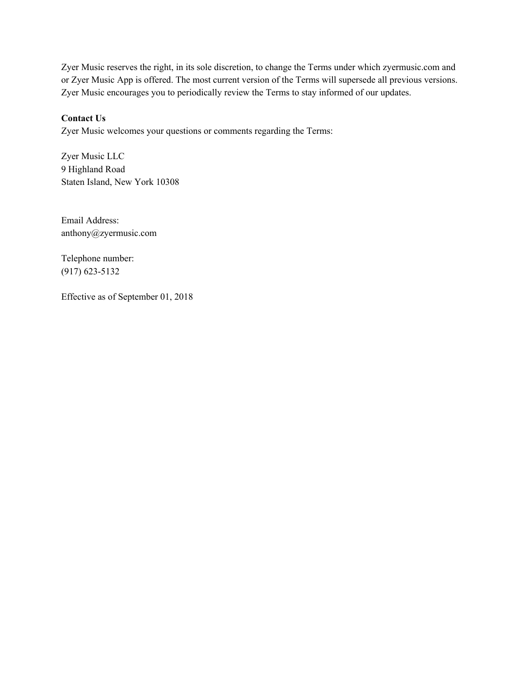Zyer Music reserves the right, in its sole discretion, to change the Terms under which zyermusic.com and or Zyer Music App is offered. The most current version of the Terms will supersede all previous versions. Zyer Music encourages you to periodically review the Terms to stay informed of our updates.

# **Contact Us**

Zyer Music welcomes your questions or comments regarding the Terms:

Zyer Music LLC 9 Highland Road Staten Island, New York 10308

Email Address: anthony@zyermusic.com

Telephone number: (917) 623-5132

Effective as of September 01, 2018